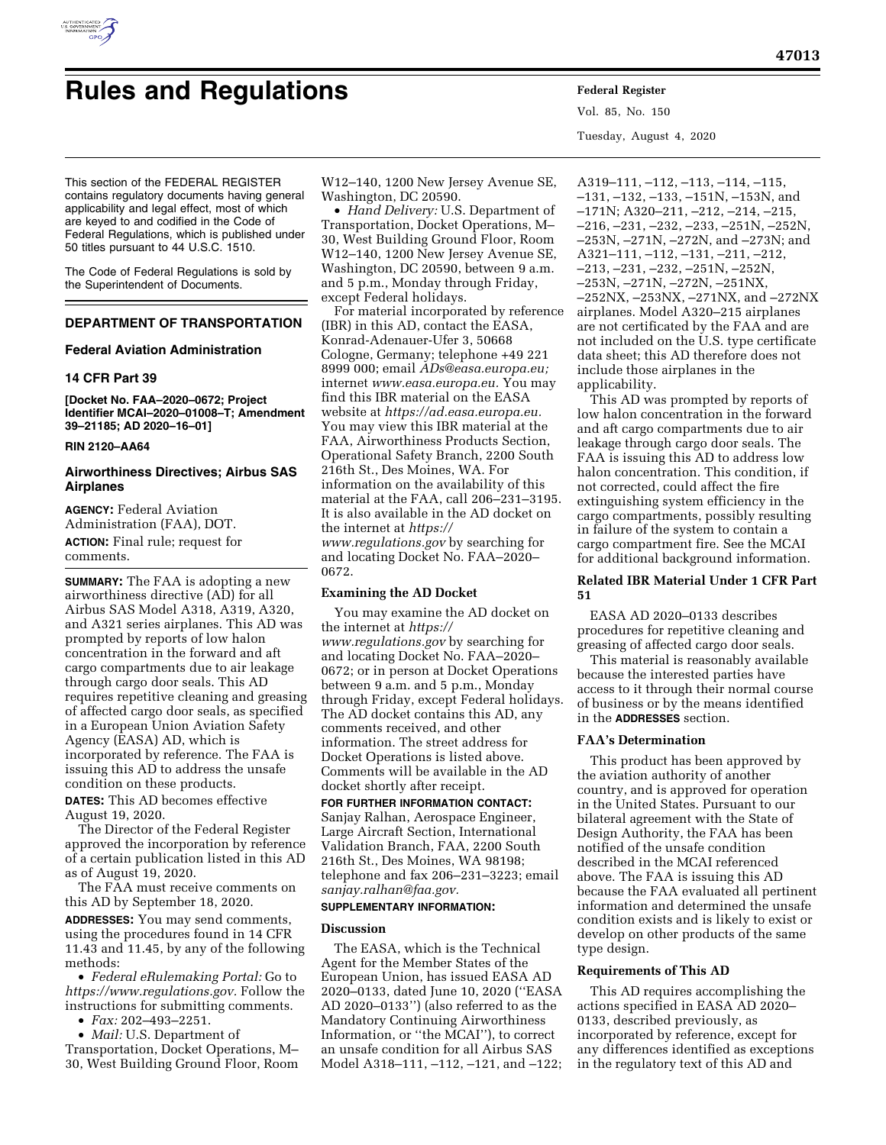

# **Rules and Regulations Federal Register**

Vol. 85, No. 150 Tuesday, August 4, 2020

This section of the FEDERAL REGISTER contains regulatory documents having general applicability and legal effect, most of which are keyed to and codified in the Code of Federal Regulations, which is published under 50 titles pursuant to 44 U.S.C. 1510.

The Code of Federal Regulations is sold by the Superintendent of Documents.

# **DEPARTMENT OF TRANSPORTATION**

## **Federal Aviation Administration**

#### **14 CFR Part 39**

**[Docket No. FAA–2020–0672; Project Identifier MCAI–2020–01008–T; Amendment 39–21185; AD 2020–16–01]** 

#### **RIN 2120–AA64**

# **Airworthiness Directives; Airbus SAS Airplanes**

**AGENCY:** Federal Aviation Administration (FAA), DOT. **ACTION:** Final rule; request for comments.

**SUMMARY:** The FAA is adopting a new airworthiness directive (AD) for all Airbus SAS Model A318, A319, A320, and A321 series airplanes. This AD was prompted by reports of low halon concentration in the forward and aft cargo compartments due to air leakage through cargo door seals. This AD requires repetitive cleaning and greasing of affected cargo door seals, as specified in a European Union Aviation Safety Agency (EASA) AD, which is incorporated by reference. The FAA is issuing this AD to address the unsafe condition on these products.

**DATES:** This AD becomes effective August 19, 2020.

The Director of the Federal Register approved the incorporation by reference of a certain publication listed in this AD as of August 19, 2020.

The FAA must receive comments on this AD by September 18, 2020.

**ADDRESSES:** You may send comments, using the procedures found in 14 CFR 11.43 and 11.45, by any of the following methods:

• *Federal eRulemaking Portal:* Go to *[https://www.regulations.gov.](https://www.regulations.gov)* Follow the instructions for submitting comments.

• *Fax:* 202–493–2251.

• *Mail:* U.S. Department of Transportation, Docket Operations, M– 30, West Building Ground Floor, Room

W12–140, 1200 New Jersey Avenue SE, Washington, DC 20590.

• *Hand Delivery:* U.S. Department of Transportation, Docket Operations, M– 30, West Building Ground Floor, Room W12–140, 1200 New Jersey Avenue SE, Washington, DC 20590, between 9 a.m. and 5 p.m., Monday through Friday, except Federal holidays.

For material incorporated by reference (IBR) in this AD, contact the EASA, Konrad-Adenauer-Ufer 3, 50668 Cologne, Germany; telephone +49 221 8999 000; email *[ADs@easa.europa.eu;](mailto:ADs@easa.europa.eu)*  internet *[www.easa.europa.eu.](http://www.easa.europa.eu)* You may find this IBR material on the EASA website at *[https://ad.easa.europa.eu.](https://ad.easa.europa.eu)*  You may view this IBR material at the FAA, Airworthiness Products Section, Operational Safety Branch, 2200 South 216th St., Des Moines, WA. For information on the availability of this material at the FAA, call 206–231–3195. It is also available in the AD docket on the internet at *[https://](https://www.regulations.gov) [www.regulations.gov](https://www.regulations.gov)* by searching for and locating Docket No. FAA–2020– 0672.

## **Examining the AD Docket**

You may examine the AD docket on the internet at *[https://](https://www.regulations.gov) [www.regulations.gov](https://www.regulations.gov)* by searching for and locating Docket No. FAA–2020– 0672; or in person at Docket Operations between 9 a.m. and 5 p.m., Monday through Friday, except Federal holidays. The AD docket contains this AD, any comments received, and other information. The street address for Docket Operations is listed above. Comments will be available in the AD docket shortly after receipt.

**FOR FURTHER INFORMATION CONTACT:**  Sanjay Ralhan, Aerospace Engineer, Large Aircraft Section, International Validation Branch, FAA, 2200 South 216th St., Des Moines, WA 98198; telephone and fax 206–231–3223; email *[sanjay.ralhan@faa.gov.](mailto:sanjay.ralhan@faa.gov)* 

# **SUPPLEMENTARY INFORMATION:**

# **Discussion**

The EASA, which is the Technical Agent for the Member States of the European Union, has issued EASA AD 2020–0133, dated June 10, 2020 (''EASA AD 2020–0133'') (also referred to as the Mandatory Continuing Airworthiness Information, or ''the MCAI''), to correct an unsafe condition for all Airbus SAS Model A318–111, –112, –121, and –122;

A319–111, –112, –113, –114, –115, –131, –132, –133, –151N, –153N, and –171N; A320–211, –212, –214, –215, –216, –231, –232, –233, –251N, –252N, –253N, –271N, –272N, and –273N; and A321–111, –112, –131, –211, –212, –213, –231, –232, –251N, –252N, –253N, –271N, –272N, –251NX, –252NX, –253NX, –271NX, and –272NX airplanes. Model A320–215 airplanes are not certificated by the FAA and are not included on the U.S. type certificate data sheet; this AD therefore does not include those airplanes in the applicability.

This AD was prompted by reports of low halon concentration in the forward and aft cargo compartments due to air leakage through cargo door seals. The FAA is issuing this AD to address low halon concentration. This condition, if not corrected, could affect the fire extinguishing system efficiency in the cargo compartments, possibly resulting in failure of the system to contain a cargo compartment fire. See the MCAI for additional background information.

# **Related IBR Material Under 1 CFR Part 51**

EASA AD 2020–0133 describes procedures for repetitive cleaning and greasing of affected cargo door seals.

This material is reasonably available because the interested parties have access to it through their normal course of business or by the means identified in the **ADDRESSES** section.

## **FAA's Determination**

This product has been approved by the aviation authority of another country, and is approved for operation in the United States. Pursuant to our bilateral agreement with the State of Design Authority, the FAA has been notified of the unsafe condition described in the MCAI referenced above. The FAA is issuing this AD because the FAA evaluated all pertinent information and determined the unsafe condition exists and is likely to exist or develop on other products of the same type design.

## **Requirements of This AD**

This AD requires accomplishing the actions specified in EASA AD 2020– 0133, described previously, as incorporated by reference, except for any differences identified as exceptions in the regulatory text of this AD and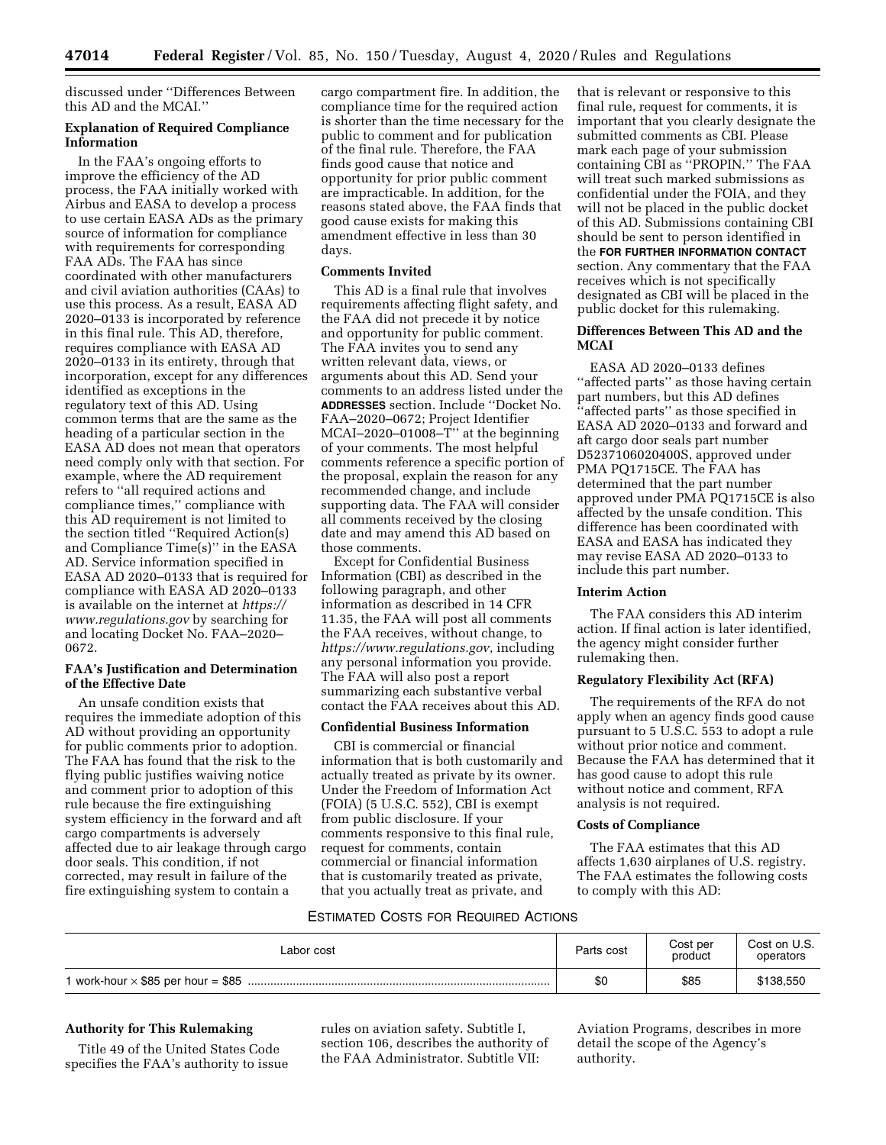discussed under ''Differences Between this AD and the MCAI.''

## **Explanation of Required Compliance Information**

In the FAA's ongoing efforts to improve the efficiency of the AD process, the FAA initially worked with Airbus and EASA to develop a process to use certain EASA ADs as the primary source of information for compliance with requirements for corresponding FAA ADs. The FAA has since coordinated with other manufacturers and civil aviation authorities (CAAs) to use this process. As a result, EASA AD 2020–0133 is incorporated by reference in this final rule. This AD, therefore, requires compliance with EASA AD 2020–0133 in its entirety, through that incorporation, except for any differences identified as exceptions in the regulatory text of this AD. Using common terms that are the same as the heading of a particular section in the EASA AD does not mean that operators need comply only with that section. For example, where the AD requirement refers to ''all required actions and compliance times,'' compliance with this AD requirement is not limited to the section titled ''Required Action(s) and Compliance Time(s)'' in the EASA AD. Service information specified in EASA AD 2020–0133 that is required for compliance with EASA AD 2020–0133 is available on the internet at *[https://](https://www.regulations.gov) [www.regulations.gov](https://www.regulations.gov)* by searching for and locating Docket No. FAA–2020– 0672.

## **FAA's Justification and Determination of the Effective Date**

An unsafe condition exists that requires the immediate adoption of this AD without providing an opportunity for public comments prior to adoption. The FAA has found that the risk to the flying public justifies waiving notice and comment prior to adoption of this rule because the fire extinguishing system efficiency in the forward and aft cargo compartments is adversely affected due to air leakage through cargo door seals. This condition, if not corrected, may result in failure of the fire extinguishing system to contain a

cargo compartment fire. In addition, the compliance time for the required action is shorter than the time necessary for the public to comment and for publication of the final rule. Therefore, the FAA finds good cause that notice and opportunity for prior public comment are impracticable. In addition, for the reasons stated above, the FAA finds that good cause exists for making this amendment effective in less than 30 days.

## **Comments Invited**

This AD is a final rule that involves requirements affecting flight safety, and the FAA did not precede it by notice and opportunity for public comment. The FAA invites you to send any written relevant data, views, or arguments about this AD. Send your comments to an address listed under the **ADDRESSES** section. Include ''Docket No. FAA–2020–0672; Project Identifier MCAI–2020–01008–T'' at the beginning of your comments. The most helpful comments reference a specific portion of the proposal, explain the reason for any recommended change, and include supporting data. The FAA will consider all comments received by the closing date and may amend this AD based on those comments.

Except for Confidential Business Information (CBI) as described in the following paragraph, and other information as described in 14 CFR 11.35, the FAA will post all comments the FAA receives, without change, to *[https://www.regulations.gov,](https://www.regulations.gov)* including any personal information you provide. The FAA will also post a report summarizing each substantive verbal contact the FAA receives about this AD.

#### **Confidential Business Information**

CBI is commercial or financial information that is both customarily and actually treated as private by its owner. Under the Freedom of Information Act (FOIA) (5 U.S.C. 552), CBI is exempt from public disclosure. If your comments responsive to this final rule, request for comments, contain commercial or financial information that is customarily treated as private, that you actually treat as private, and

that is relevant or responsive to this final rule, request for comments, it is important that you clearly designate the submitted comments as CBI. Please mark each page of your submission containing CBI as ''PROPIN.'' The FAA will treat such marked submissions as confidential under the FOIA, and they will not be placed in the public docket of this AD. Submissions containing CBI should be sent to person identified in the **FOR FURTHER INFORMATION CONTACT** section. Any commentary that the FAA receives which is not specifically designated as CBI will be placed in the public docket for this rulemaking.

## **Differences Between This AD and the MCAI**

EASA AD 2020–0133 defines ''affected parts'' as those having certain part numbers, but this AD defines ''affected parts'' as those specified in EASA AD 2020–0133 and forward and aft cargo door seals part number D5237106020400S, approved under PMA PQ1715CE. The FAA has determined that the part number approved under PMA PQ1715CE is also affected by the unsafe condition. This difference has been coordinated with EASA and EASA has indicated they may revise EASA AD 2020–0133 to include this part number.

#### **Interim Action**

The FAA considers this AD interim action. If final action is later identified, the agency might consider further rulemaking then.

## **Regulatory Flexibility Act (RFA)**

The requirements of the RFA do not apply when an agency finds good cause pursuant to 5 U.S.C. 553 to adopt a rule without prior notice and comment. Because the FAA has determined that it has good cause to adopt this rule without notice and comment, RFA analysis is not required.

#### **Costs of Compliance**

The FAA estimates that this AD affects 1,630 airplanes of U.S. registry. The FAA estimates the following costs to comply with this AD:

#### ESTIMATED COSTS FOR REQUIRED ACTIONS

| Labor cost | Parts cost | Cost per<br>product | Cost on U.S.<br>operators |
|------------|------------|---------------------|---------------------------|
|            | \$0        | \$85                | \$138,550                 |

## **Authority for This Rulemaking**

Title 49 of the United States Code specifies the FAA's authority to issue rules on aviation safety. Subtitle I, section 106, describes the authority of the FAA Administrator. Subtitle VII:

Aviation Programs, describes in more detail the scope of the Agency's authority.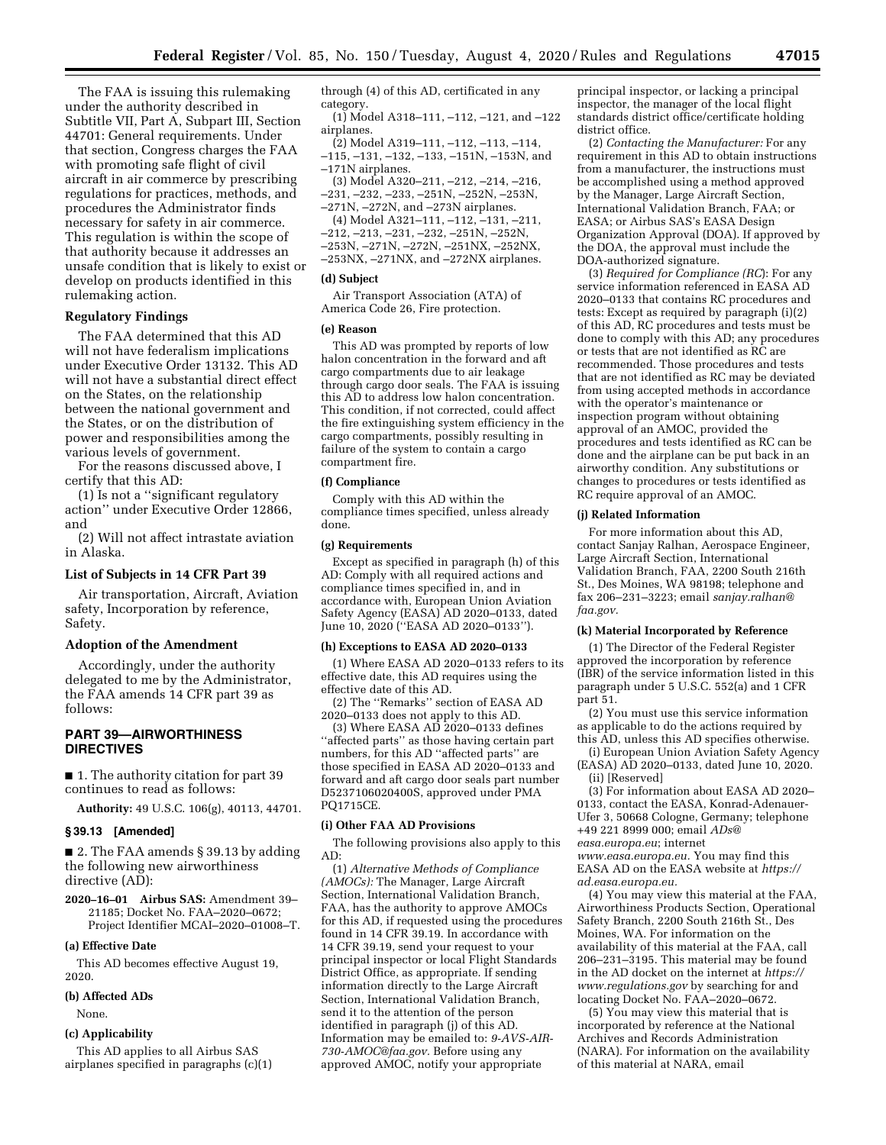The FAA is issuing this rulemaking under the authority described in Subtitle VII, Part A, Subpart III, Section 44701: General requirements. Under that section, Congress charges the FAA with promoting safe flight of civil aircraft in air commerce by prescribing regulations for practices, methods, and procedures the Administrator finds necessary for safety in air commerce. This regulation is within the scope of that authority because it addresses an unsafe condition that is likely to exist or develop on products identified in this rulemaking action.

## **Regulatory Findings**

The FAA determined that this AD will not have federalism implications under Executive Order 13132. This AD will not have a substantial direct effect on the States, on the relationship between the national government and the States, or on the distribution of power and responsibilities among the various levels of government.

For the reasons discussed above, I certify that this AD:

(1) Is not a ''significant regulatory action'' under Executive Order 12866, and

(2) Will not affect intrastate aviation in Alaska.

#### **List of Subjects in 14 CFR Part 39**

Air transportation, Aircraft, Aviation safety, Incorporation by reference, Safety.

#### **Adoption of the Amendment**

Accordingly, under the authority delegated to me by the Administrator, the FAA amends 14 CFR part 39 as follows:

## **PART 39—AIRWORTHINESS DIRECTIVES**

■ 1. The authority citation for part 39 continues to read as follows:

**Authority:** 49 U.S.C. 106(g), 40113, 44701.

## **§ 39.13 [Amended]**

■ 2. The FAA amends § 39.13 by adding the following new airworthiness directive (AD):

**2020–16–01 Airbus SAS:** Amendment 39– 21185; Docket No. FAA–2020–0672; Project Identifier MCAI–2020–01008–T.

#### **(a) Effective Date**

This AD becomes effective August 19, 2020.

#### **(b) Affected ADs**

None.

## **(c) Applicability**

This AD applies to all Airbus SAS airplanes specified in paragraphs (c)(1) through (4) of this AD, certificated in any category.

(1) Model A318–111, –112, –121, and –122 airplanes.

(2) Model A319–111, –112, –113, –114, –115, –131, –132, –133, –151N, –153N, and –171N airplanes.

(3) Model A320–211, –212, –214, –216,

–231, –232, –233, –251N, –252N, –253N,

–271N, –272N, and –273N airplanes. (4) Model A321–111, –112, –131, –211, –212, –213, –231, –232, –251N, –252N,

–253N, –271N, –272N, –251NX, –252NX,

–253NX, –271NX, and –272NX airplanes.

## **(d) Subject**

Air Transport Association (ATA) of America Code 26, Fire protection.

## **(e) Reason**

This AD was prompted by reports of low halon concentration in the forward and aft cargo compartments due to air leakage through cargo door seals. The FAA is issuing this AD to address low halon concentration. This condition, if not corrected, could affect the fire extinguishing system efficiency in the cargo compartments, possibly resulting in failure of the system to contain a cargo compartment fire.

#### **(f) Compliance**

Comply with this AD within the compliance times specified, unless already done.

#### **(g) Requirements**

Except as specified in paragraph (h) of this AD: Comply with all required actions and compliance times specified in, and in accordance with, European Union Aviation Safety Agency (EASA) AD 2020–0133, dated June 10, 2020 (''EASA AD 2020–0133'').

#### **(h) Exceptions to EASA AD 2020–0133**

(1) Where EASA AD 2020–0133 refers to its effective date, this AD requires using the effective date of this AD.

(2) The ''Remarks'' section of EASA AD 2020–0133 does not apply to this AD.

(3) Where EASA AD 2020–0133 defines ''affected parts'' as those having certain part numbers, for this AD ''affected parts'' are those specified in EASA AD 2020–0133 and forward and aft cargo door seals part number D5237106020400S, approved under PMA PQ1715CE.

## **(i) Other FAA AD Provisions**

The following provisions also apply to this AD:

(1) *Alternative Methods of Compliance (AMOCs):* The Manager, Large Aircraft Section, International Validation Branch, FAA, has the authority to approve AMOCs for this AD, if requested using the procedures found in 14 CFR 39.19. In accordance with 14 CFR 39.19, send your request to your principal inspector or local Flight Standards District Office, as appropriate. If sending information directly to the Large Aircraft Section, International Validation Branch, send it to the attention of the person identified in paragraph (j) of this AD. Information may be emailed to: *[9-AVS-AIR-](mailto:9-AVS-AIR-730-AMOC@faa.gov)[730-AMOC@faa.gov.](mailto:9-AVS-AIR-730-AMOC@faa.gov)* Before using any approved AMOC, notify your appropriate

principal inspector, or lacking a principal inspector, the manager of the local flight standards district office/certificate holding district office.

(2) *Contacting the Manufacturer:* For any requirement in this AD to obtain instructions from a manufacturer, the instructions must be accomplished using a method approved by the Manager, Large Aircraft Section, International Validation Branch, FAA; or EASA; or Airbus SAS's EASA Design Organization Approval (DOA). If approved by the DOA, the approval must include the DOA-authorized signature.

(3) *Required for Compliance (RC*): For any service information referenced in EASA AD 2020–0133 that contains RC procedures and tests: Except as required by paragraph (i)(2) of this AD, RC procedures and tests must be done to comply with this AD; any procedures or tests that are not identified as RC are recommended. Those procedures and tests that are not identified as RC may be deviated from using accepted methods in accordance with the operator's maintenance or inspection program without obtaining approval of an AMOC, provided the procedures and tests identified as RC can be done and the airplane can be put back in an airworthy condition. Any substitutions or changes to procedures or tests identified as RC require approval of an AMOC.

#### **(j) Related Information**

For more information about this AD, contact Sanjay Ralhan, Aerospace Engineer, Large Aircraft Section, International Validation Branch, FAA, 2200 South 216th St., Des Moines, WA 98198; telephone and fax 206–231–3223; email *[sanjay.ralhan@](mailto:sanjay.ralhan@faa.gov) [faa.gov.](mailto:sanjay.ralhan@faa.gov)* 

#### **(k) Material Incorporated by Reference**

(1) The Director of the Federal Register approved the incorporation by reference (IBR) of the service information listed in this paragraph under 5 U.S.C. 552(a) and 1 CFR part 51.

(2) You must use this service information as applicable to do the actions required by this AD, unless this AD specifies otherwise.

(i) European Union Aviation Safety Agency (EASA) AD 2020–0133, dated June 10, 2020. (ii) [Reserved]

(3) For information about EASA AD 2020– 0133, contact the EASA, Konrad-Adenauer-Ufer 3, 50668 Cologne, Germany; telephone +49 221 8999 000; email *[ADs@](mailto:ADs@easa.europa.eu) [easa.europa.eu](mailto:ADs@easa.europa.eu)*; internet

*[www.easa.europa.eu.](http://www.easa.europa.eu)* You may find this EASA AD on the EASA website at *[https://](https://ad.easa.europa.eu) [ad.easa.europa.eu.](https://ad.easa.europa.eu)* 

(4) You may view this material at the FAA, Airworthiness Products Section, Operational Safety Branch, 2200 South 216th St., Des Moines, WA. For information on the availability of this material at the FAA, call 206–231–3195. This material may be found in the AD docket on the internet at *[https://](https://www.regulations.gov)  [www.regulations.gov](https://www.regulations.gov)* by searching for and locating Docket No. FAA–2020–0672.

(5) You may view this material that is incorporated by reference at the National Archives and Records Administration (NARA). For information on the availability of this material at NARA, email